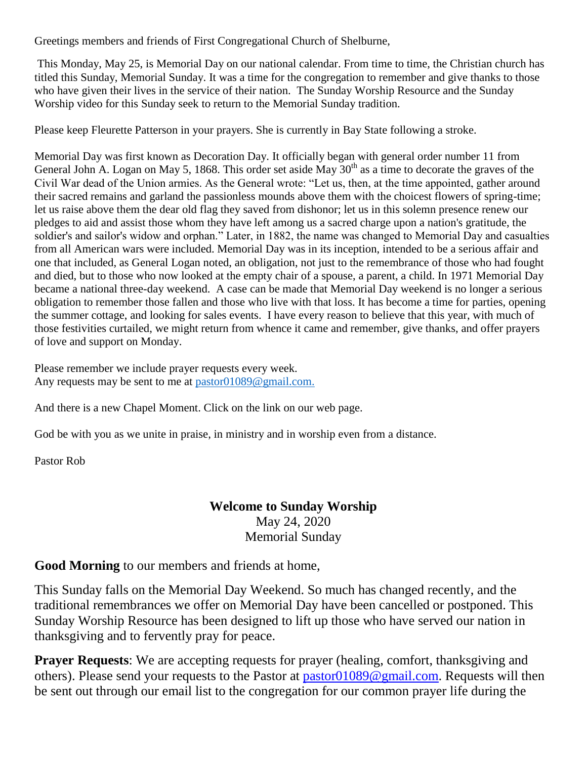Greetings members and friends of First Congregational Church of Shelburne,

This Monday, May 25, is Memorial Day on our national calendar. From time to time, the Christian church has titled this Sunday, Memorial Sunday. It was a time for the congregation to remember and give thanks to those who have given their lives in the service of their nation. The Sunday Worship Resource and the Sunday Worship video for this Sunday seek to return to the Memorial Sunday tradition.

Please keep Fleurette Patterson in your prayers. She is currently in Bay State following a stroke.

Memorial Day was first known as Decoration Day. It officially began with general order number 11 from General John A. Logan on May 5, 1868. This order set aside May  $30<sup>th</sup>$  as a time to decorate the graves of the Civil War dead of the Union armies. As the General wrote: "Let us, then, at the time appointed, gather around their sacred remains and garland the passionless mounds above them with the choicest flowers of spring-time; let us raise above them the dear old flag they saved from dishonor; let us in this solemn presence renew our pledges to aid and assist those whom they have left among us a sacred charge upon a nation's gratitude, the soldier's and sailor's widow and orphan." Later, in 1882, the name was changed to Memorial Day and casualties from all American wars were included. Memorial Day was in its inception, intended to be a serious affair and one that included, as General Logan noted, an obligation, not just to the remembrance of those who had fought and died, but to those who now looked at the empty chair of a spouse, a parent, a child. In 1971 Memorial Day became a national three-day weekend. A case can be made that Memorial Day weekend is no longer a serious obligation to remember those fallen and those who live with that loss. It has become a time for parties, opening the summer cottage, and looking for sales events. I have every reason to believe that this year, with much of those festivities curtailed, we might return from whence it came and remember, give thanks, and offer prayers of love and support on Monday.

Please remember we include prayer requests every week. Any requests may be sent to me at [pastor01089@gmail.com.](mailto:pastor01089@gmail.com)

And there is a new Chapel Moment. Click on the link on our web page.

God be with you as we unite in praise, in ministry and in worship even from a distance.

Pastor Rob

#### **Welcome to Sunday Worship** May 24, 2020 Memorial Sunday

**Good Morning** to our members and friends at home,

This Sunday falls on the Memorial Day Weekend. So much has changed recently, and the traditional remembrances we offer on Memorial Day have been cancelled or postponed. This Sunday Worship Resource has been designed to lift up those who have served our nation in thanksgiving and to fervently pray for peace.

**Prayer Requests:** We are accepting requests for prayer (healing, comfort, thanksgiving and others). Please send your requests to the Pastor at [pastor01089@gmail.com.](mailto:pastor01089@gmail.com) Requests will then be sent out through our email list to the congregation for our common prayer life during the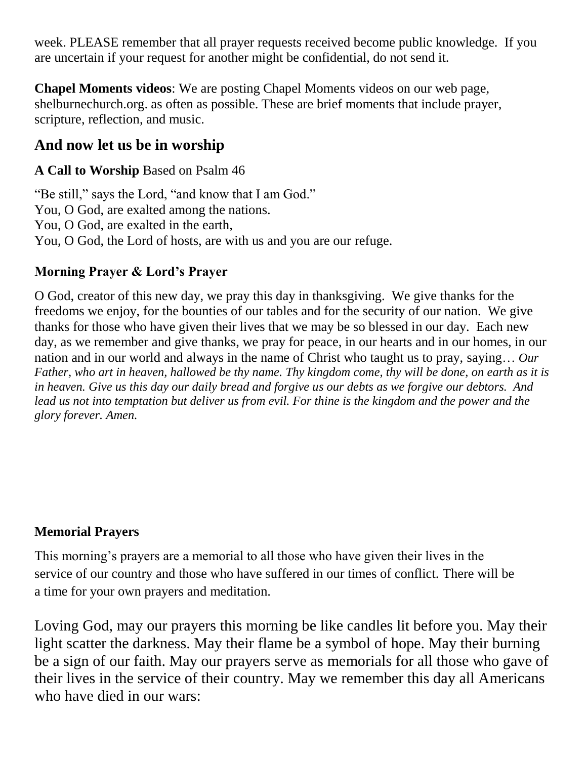week. PLEASE remember that all prayer requests received become public knowledge. If you are uncertain if your request for another might be confidential, do not send it.

**Chapel Moments videos**: We are posting Chapel Moments videos on our web page, shelburnechurch.org. as often as possible. These are brief moments that include prayer, scripture, reflection, and music.

# **And now let us be in worship**

### **A Call to Worship** Based on Psalm 46

"Be still," says the Lord, "and know that I am God." You, O God, are exalted among the nations. You, O God, are exalted in the earth, You, O God, the Lord of hosts, are with us and you are our refuge.

### **Morning Prayer & Lord's Prayer**

O God, creator of this new day, we pray this day in thanksgiving. We give thanks for the freedoms we enjoy, for the bounties of our tables and for the security of our nation. We give thanks for those who have given their lives that we may be so blessed in our day. Each new day, as we remember and give thanks, we pray for peace, in our hearts and in our homes, in our nation and in our world and always in the name of Christ who taught us to pray, saying… *Our Father, who art in heaven, hallowed be thy name. Thy kingdom come, thy will be done, on earth as it is in heaven. Give us this day our daily bread and forgive us our debts as we forgive our debtors. And lead us not into temptation but deliver us from evil. For thine is the kingdom and the power and the glory forever. Amen.*

## **Memorial Prayers**

This morning's prayers are a memorial to all those who have given their lives in the service of our country and those who have suffered in our times of conflict. There will be a time for your own prayers and meditation.

Loving God, may our prayers this morning be like candles lit before you. May their light scatter the darkness. May their flame be a symbol of hope. May their burning be a sign of our faith. May our prayers serve as memorials for all those who gave of their lives in the service of their country. May we remember this day all Americans who have died in our wars: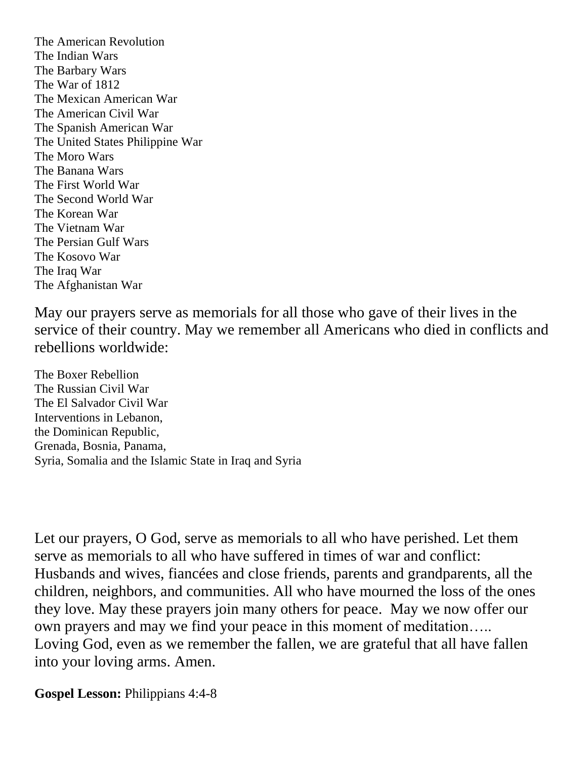The American Revolution The Indian Wars The Barbary Wars The War of 1812 The Mexican American War The American Civil War The Spanish American War The United States Philippine War The Moro Wars The Banana Wars The First World War The Second World War The Korean War The Vietnam War The Persian Gulf Wars The Kosovo War The Iraq War The Afghanistan War

May our prayers serve as memorials for all those who gave of their lives in the service of their country. May we remember all Americans who died in conflicts and rebellions worldwide:

The Boxer Rebellion The Russian Civil War The El Salvador Civil War Interventions in Lebanon, the Dominican Republic, Grenada, Bosnia, Panama, Syria, Somalia and the Islamic State in Iraq and Syria

Let our prayers, O God, serve as memorials to all who have perished. Let them serve as memorials to all who have suffered in times of war and conflict: Husbands and wives, fiancées and close friends, parents and grandparents, all the children, neighbors, and communities. All who have mourned the loss of the ones they love. May these prayers join many others for peace. May we now offer our own prayers and may we find your peace in this moment of meditation….. Loving God, even as we remember the fallen, we are grateful that all have fallen into your loving arms. Amen.

**Gospel Lesson:** Philippians 4:4-8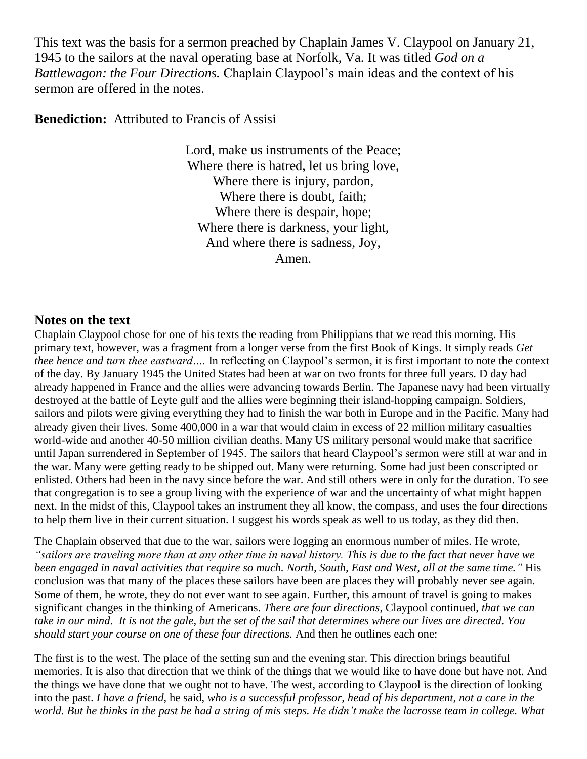This text was the basis for a sermon preached by Chaplain James V. Claypool on January 21, 1945 to the sailors at the naval operating base at Norfolk, Va. It was titled *God on a Battlewagon: the Four Directions.* Chaplain Claypool's main ideas and the context of his sermon are offered in the notes.

**Benediction:** Attributed to Francis of Assisi

Lord, make us instruments of the Peace; Where there is hatred, let us bring love, Where there is injury, pardon, Where there is doubt, faith; Where there is despair, hope; Where there is darkness, your light, And where there is sadness, Joy, Amen.

#### **Notes on the text**

Chaplain Claypool chose for one of his texts the reading from Philippians that we read this morning. His primary text, however, was a fragment from a longer verse from the first Book of Kings. It simply reads *Get thee hence and turn thee eastward….* In reflecting on Claypool's sermon, it is first important to note the context of the day. By January 1945 the United States had been at war on two fronts for three full years. D day had already happened in France and the allies were advancing towards Berlin. The Japanese navy had been virtually destroyed at the battle of Leyte gulf and the allies were beginning their island-hopping campaign. Soldiers, sailors and pilots were giving everything they had to finish the war both in Europe and in the Pacific. Many had already given their lives. Some 400,000 in a war that would claim in excess of 22 million military casualties world-wide and another 40-50 million civilian deaths. Many US military personal would make that sacrifice until Japan surrendered in September of 1945. The sailors that heard Claypool's sermon were still at war and in the war. Many were getting ready to be shipped out. Many were returning. Some had just been conscripted or enlisted. Others had been in the navy since before the war. And still others were in only for the duration. To see that congregation is to see a group living with the experience of war and the uncertainty of what might happen next. In the midst of this, Claypool takes an instrument they all know, the compass, and uses the four directions to help them live in their current situation. I suggest his words speak as well to us today, as they did then.

The Chaplain observed that due to the war, sailors were logging an enormous number of miles. He wrote, *"sailors are traveling more than at any other time in naval history. This is due to the fact that never have we been engaged in naval activities that require so much. North, South, East and West, all at the same time."* His conclusion was that many of the places these sailors have been are places they will probably never see again. Some of them, he wrote, they do not ever want to see again. Further, this amount of travel is going to makes significant changes in the thinking of Americans. *There are four directions*, Claypool continued, *that we can take in our mind*. *It is not the gale, but the set of the sail that determines where our lives are directed. You should start your course on one of these four directions.* And then he outlines each one:

The first is to the west. The place of the setting sun and the evening star. This direction brings beautiful memories. It is also that direction that we think of the things that we would like to have done but have not. And the things we have done that we ought not to have. The west, according to Claypool is the direction of looking into the past. *I have a friend*, he said, *who is a successful professor, head of his department, not a care in the world. But he thinks in the past he had a string of mis steps. He didn't make the lacrosse team in college. What*